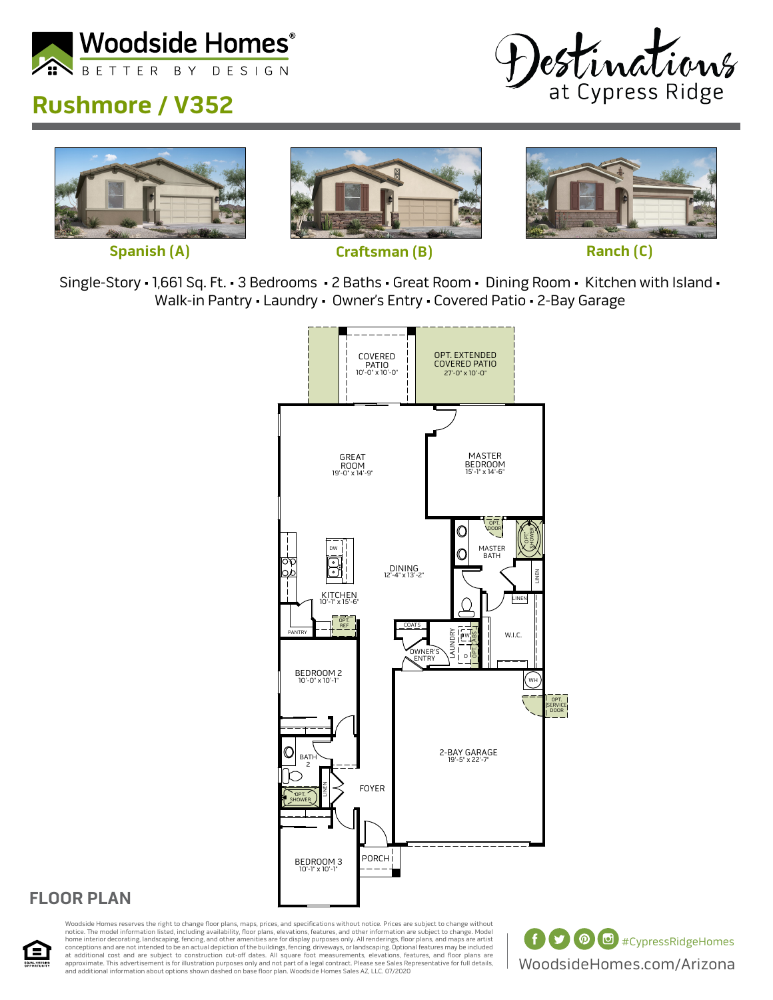

## **Rushmore / V352**









Single-Story • 1,661 Sq. Ft. • 3 Bedrooms • 2 Baths • Great Room • Dining Room • Kitchen with Island • Walk-in Pantry • Laundry • Owner's Entry • Covered Patio • 2-Bay Garage



## **FLOOR PLAN**



Woodside Homes reserves the right to change floor plans, maps, prices, and specifications without notice. Prices are subject to change without notice. The model information listed, including availability, floor plans, elevations, features, and other information are subject to change. Model<br>home interior decorating, landscaping, fencing, and other amenities are fo at additional cost and are subject to construction cut-off dates. All square foot measurements, elevations, features, and floor plans are<br>approximate. This advertisement is for illustration purposes only and not part of a